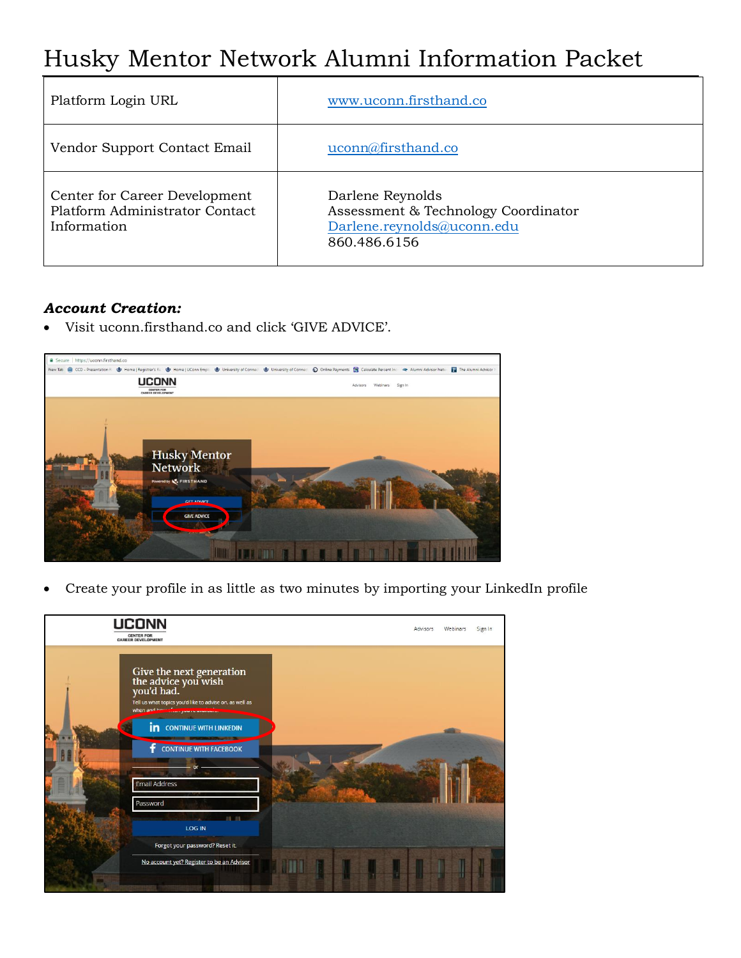# Husky Mentor Network Alumni Information Packet

| Platform Login URL                                                             | www.uconn.firsthand.co                                                                                |
|--------------------------------------------------------------------------------|-------------------------------------------------------------------------------------------------------|
| Vendor Support Contact Email                                                   | uconn@firsthand.co                                                                                    |
| Center for Career Development<br>Platform Administrator Contact<br>Information | Darlene Reynolds<br>Assessment & Technology Coordinator<br>Darlene.reynolds@uconn.edu<br>860.486.6156 |

# *Account Creation:*

Visit uconn.firsthand.co and click 'GIVE ADVICE'.



Create your profile in as little as two minutes by importing your LinkedIn profile

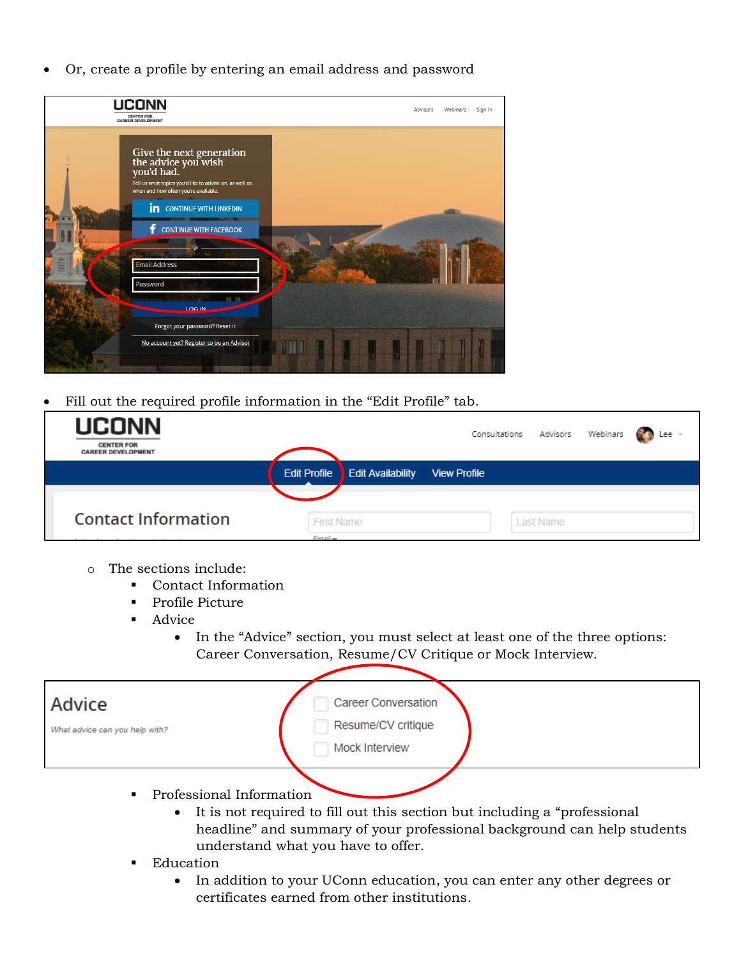Or, create a profile by entering an email address and password



Fill out the required profile information in the "Edit Profile" tab.

| <b>UCONN</b><br><b>CENTER FOR</b><br><b>CAREER DEVELOPMENT</b> |                   |                                       |                     | Consultations Advisors Webinars Consultations |  |
|----------------------------------------------------------------|-------------------|---------------------------------------|---------------------|-----------------------------------------------|--|
|                                                                |                   | <b>Edit Profile Edit Availability</b> | <b>View Profile</b> |                                               |  |
|                                                                |                   |                                       |                     |                                               |  |
| <b>Contact Information</b>                                     | <b>First Name</b> |                                       |                     | <b>Last Name</b>                              |  |
|                                                                | $F$ mail $=$      |                                       |                     |                                               |  |

- o The sections include:
	- Contact Information
	- Profile Picture
	- Advice
		- In the "Advice" section, you must select at least one of the three options: Career Conversation, Resume/CV Critique or Mock Interview.

| Advice<br>What advice can you help with? | <b>Career Conversation</b><br>Resume/CV critique<br>Mock Interview |  |
|------------------------------------------|--------------------------------------------------------------------|--|
|                                          |                                                                    |  |

- Professional Information
	- It is not required to fill out this section but including a "professional headline" and summary of your professional background can help students understand what you have to offer.
- **Education** 
	- In addition to your UConn education, you can enter any other degrees or certificates earned from other institutions.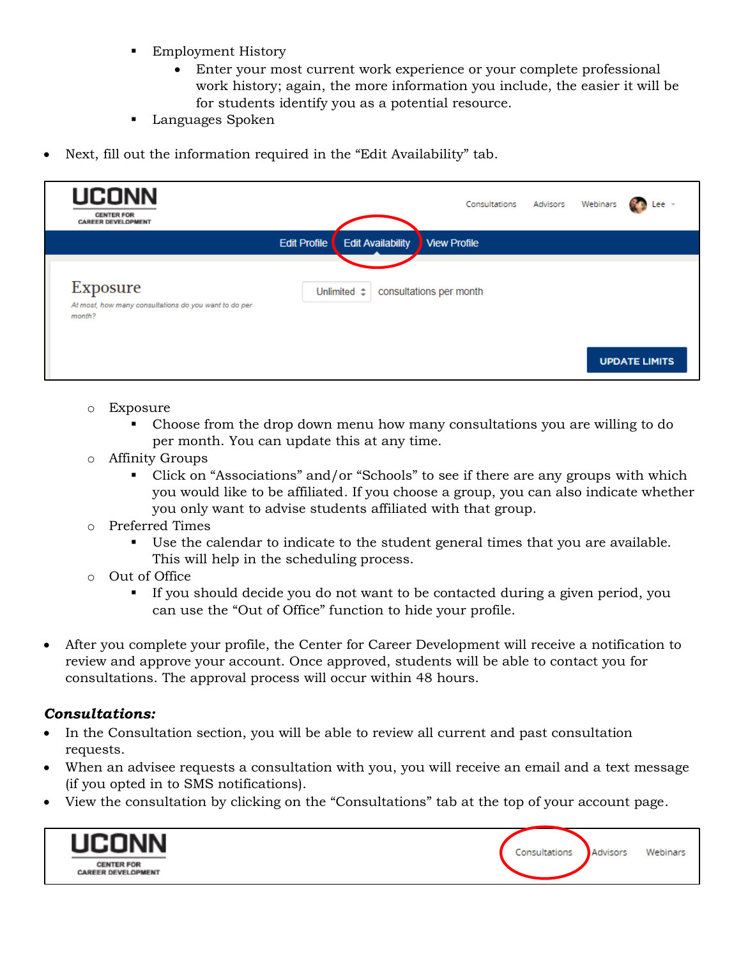- **Employment History** 
	- Enter your most current work experience or your complete professional work history; again, the more information you include, the easier it will be for students identify you as a potential resource.
- **Languages Spoken**
- Next, fill out the information required in the "Edit Availability" tab.

| <b>UCONN</b><br><b>CENTER FOR</b><br><b>CAREER DEVELOPMENT</b>              |                     |                          | Consultations Advisors Webinars |  | Lee -                |
|-----------------------------------------------------------------------------|---------------------|--------------------------|---------------------------------|--|----------------------|
|                                                                             | <b>Edit Profile</b> | <b>Edit Availability</b> | <b>View Profile</b>             |  |                      |
| Exposure<br>At most, how many consultations do you want to do per<br>month? |                     | Unlimited $\div$         | consultations per month         |  |                      |
|                                                                             |                     |                          |                                 |  | <b>UPDATE LIMITS</b> |

- o Exposure
	- Choose from the drop down menu how many consultations you are willing to do per month. You can update this at any time.
- o Affinity Groups
	- Click on "Associations" and/or "Schools" to see if there are any groups with which you would like to be affiliated. If you choose a group, you can also indicate whether you only want to advise students affiliated with that group.
- o Preferred Times
	- Use the calendar to indicate to the student general times that you are available. This will help in the scheduling process.
- o Out of Office
	- If you should decide you do not want to be contacted during a given period, you can use the "Out of Office" function to hide your profile.
- After you complete your profile, the Center for Career Development will receive a notification to review and approve your account. Once approved, students will be able to contact you for consultations. The approval process will occur within 48 hours.

# *Consultations:*

- In the Consultation section, you will be able to review all current and past consultation requests.
- When an advisee requests a consultation with you, you will receive an email and a text message (if you opted in to SMS notifications).
- View the consultation by clicking on the "Consultations" tab at the top of your account page.

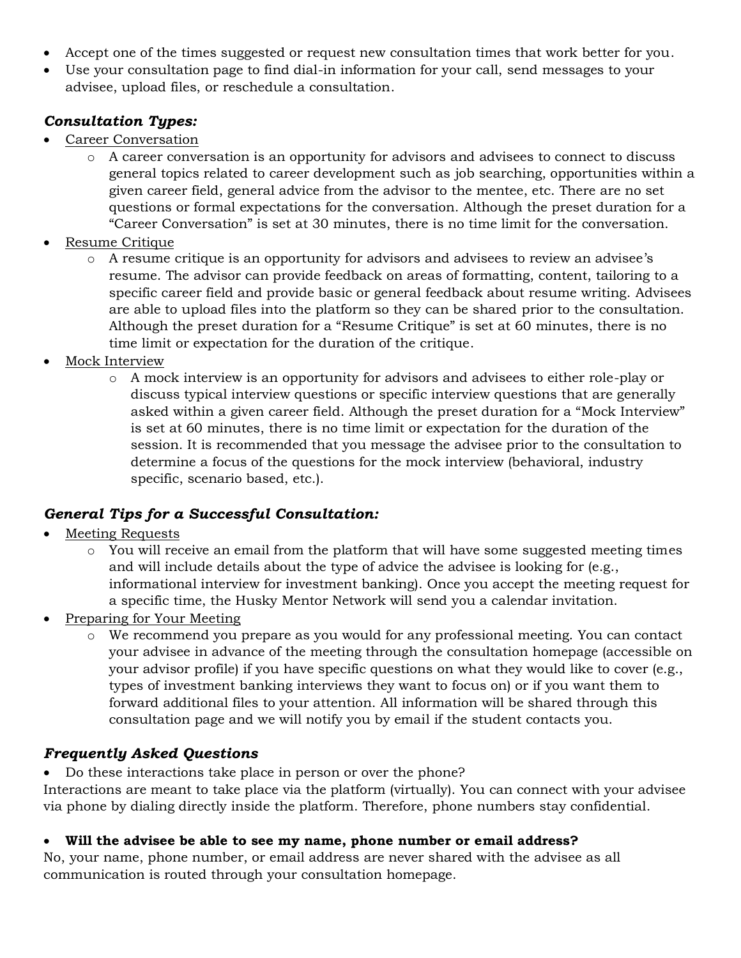- Accept one of the times suggested or request new consultation times that work better for you.
- Use your consultation page to find dial-in information for your call, send messages to your advisee, upload files, or reschedule a consultation.

# *Consultation Types:*

- Career Conversation
	- o A career conversation is an opportunity for advisors and advisees to connect to discuss general topics related to career development such as job searching, opportunities within a given career field, general advice from the advisor to the mentee, etc. There are no set questions or formal expectations for the conversation. Although the preset duration for a "Career Conversation" is set at 30 minutes, there is no time limit for the conversation.
- Resume Critique
	- o A resume critique is an opportunity for advisors and advisees to review an advisee's resume. The advisor can provide feedback on areas of formatting, content, tailoring to a specific career field and provide basic or general feedback about resume writing. Advisees are able to upload files into the platform so they can be shared prior to the consultation. Although the preset duration for a "Resume Critique" is set at 60 minutes, there is no time limit or expectation for the duration of the critique.
- Mock Interview
	- o A mock interview is an opportunity for advisors and advisees to either role-play or discuss typical interview questions or specific interview questions that are generally asked within a given career field. Although the preset duration for a "Mock Interview" is set at 60 minutes, there is no time limit or expectation for the duration of the session. It is recommended that you message the advisee prior to the consultation to determine a focus of the questions for the mock interview (behavioral, industry specific, scenario based, etc.).

# *General Tips for a Successful Consultation:*

- Meeting Requests
	- $\circ$  You will receive an email from the platform that will have some suggested meeting times and will include details about the type of advice the advisee is looking for (e.g., informational interview for investment banking). Once you accept the meeting request for a specific time, the Husky Mentor Network will send you a calendar invitation.
- Preparing for Your Meeting
	- We recommend you prepare as you would for any professional meeting. You can contact your advisee in advance of the meeting through the consultation homepage (accessible on your advisor profile) if you have specific questions on what they would like to cover (e.g., types of investment banking interviews they want to focus on) or if you want them to forward additional files to your attention. All information will be shared through this consultation page and we will notify you by email if the student contacts you.

# *Frequently Asked Questions*

Do these interactions take place in person or over the phone?

Interactions are meant to take place via the platform (virtually). You can connect with your advisee via phone by dialing directly inside the platform. Therefore, phone numbers stay confidential.

#### **Will the advisee be able to see my name, phone number or email address?**

No, your name, phone number, or email address are never shared with the advisee as all communication is routed through your consultation homepage.